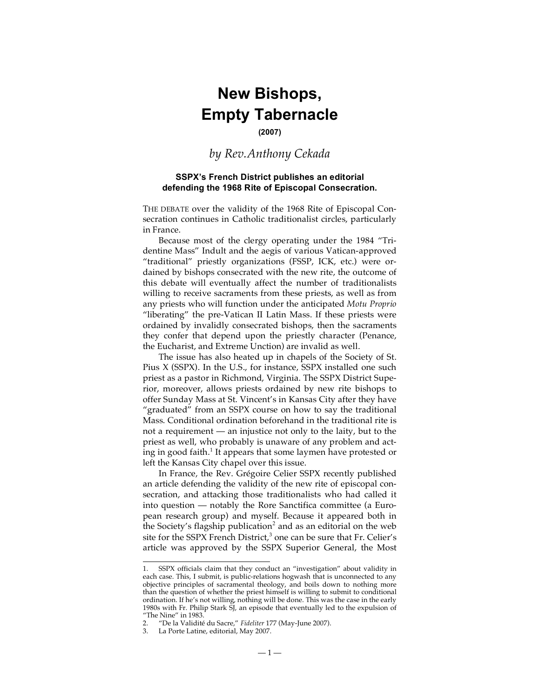## **New Bishops, Empty Tabernacle**

## **(2007)**

## *by Rev.Anthony Cekada*

## **SSPX's French District publishes an editorial defending the 1968 Rite of Episcopal Consecration.**

THE DEBATE over the validity of the 1968 Rite of Episcopal Consecration continues in Catholic traditionalist circles, particularly in France.

Because most of the clergy operating under the 1984 "Tridentine Mass" Indult and the aegis of various Vatican-approved "traditional" priestly organizations (FSSP, ICK, etc.) were ordained by bishops consecrated with the new rite, the outcome of this debate will eventually affect the number of traditionalists willing to receive sacraments from these priests, as well as from any priests who will function under the anticipated *Motu Proprio* "liberating" the pre-Vatican II Latin Mass. If these priests were ordained by invalidly consecrated bishops, then the sacraments they confer that depend upon the priestly character (Penance, the Eucharist, and Extreme Unction) are invalid as well.

The issue has also heated up in chapels of the Society of St. Pius X (SSPX). In the U.S., for instance, SSPX installed one such priest as a pastor in Richmond, Virginia. The SSPX District Superior, moreover, allows priests ordained by new rite bishops to offer Sunday Mass at St. Vincent's in Kansas City after they have "graduated" from an SSPX course on how to say the traditional Mass. Conditional ordination beforehand in the traditional rite is not a requirement — an injustice not only to the laity, but to the priest as well, who probably is unaware of any problem and acting in good faith. <sup>1</sup> It appears that some laymen have protested or left the Kansas City chapel over this issue.

In France, the Rev. Grégoire Celier SSPX recently published an article defending the validity of the new rite of episcopal consecration, and attacking those traditionalists who had called it into question — notably the Rore Sanctifica committee (a European research group) and myself. Because it appeared both in the Society's flagship publication<sup>2</sup> and as an editorial on the web site for the SSPX French District, <sup>3</sup> one can be sure that Fr. Celier's article was approved by the SSPX Superior General, the Most

 $\overline{a}$ 

<sup>1.</sup> SSPX officials claim that they conduct an "investigation" about validity in each case. This, I submit, is public-relations hogwash that is unconnected to any objective principles of sacramental theology, and boils down to nothing more than the question of whether the priest himself is willing to submit to conditional ordination. If he's not willing, nothing will be done. This was the case in the early 1980s with Fr. Philip Stark SJ, an episode that eventually led to the expulsion of "The Nine" in 1983.

<sup>2.</sup> "De la Validité du Sacre," *Fideliter* 177 (May-June 2007).

La Porte Latine, editorial, May 2007.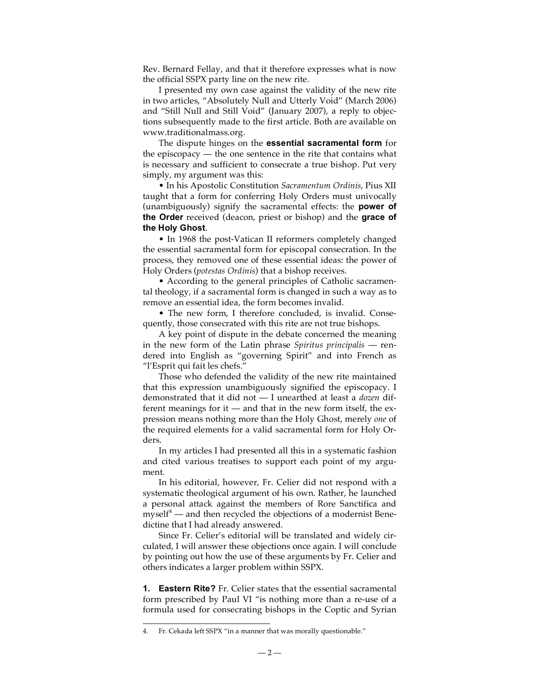Rev. Bernard Fellay, and that it therefore expresses what is now the official SSPX party line on the new rite.

I presented my own case against the validity of the new rite in two articles, "Absolutely Null and Utterly Void" (March 2006) and "Still Null and Still Void" (January 2007), a reply to objections subsequently made to the first article. Both are available on www.traditionalmass.org.

The dispute hinges on the **essential sacramental form** for the episcopacy — the one sentence in the rite that contains what is necessary and sufficient to consecrate a true bishop. Put very simply, my argument was this:

• In his Apostolic Constitution *Sacramentum Ordinis*, Pius XII taught that a form for conferring Holy Orders must univocally (unambiguously) signify the sacramental effects: the **power of the Order** received (deacon, priest or bishop) and the **grace of the Holy Ghost**.

• In 1968 the post-Vatican II reformers completely changed the essential sacramental form for episcopal consecration. In the process, they removed one of these essential ideas: the power of Holy Orders (*potestas Ordinis*) that a bishop receives.

• According to the general principles of Catholic sacramental theology, if a sacramental form is changed in such a way as to remove an essential idea, the form becomes invalid.

• The new form, I therefore concluded, is invalid. Consequently, those consecrated with this rite are not true bishops.

A key point of dispute in the debate concerned the meaning in the new form of the Latin phrase *Spiritus principalis* — rendered into English as "governing Spirit" and into French as "l'Esprit qui fait les chefs."

Those who defended the validity of the new rite maintained that this expression unambiguously signified the episcopacy. I demonstrated that it did not — I unearthed at least a *dozen* different meanings for it  $-$  and that in the new form itself, the expression means nothing more than the Holy Ghost, merely *one* of the required elements for a valid sacramental form for Holy Orders.

In my articles I had presented all this in a systematic fashion and cited various treatises to support each point of my argument.

In his editorial, however, Fr. Celier did not respond with a systematic theological argument of his own. Rather, he launched a personal attack against the members of Rore Sanctifica and myself<sup>4</sup> — and then recycled the objections of a modernist Benedictine that I had already answered.

Since Fr. Celier's editorial will be translated and widely circulated, I will answer these objections once again. I will conclude by pointing out how the use of these arguments by Fr. Celier and others indicates a larger problem within SSPX.

**1. Eastern Rite?** Fr. Celier states that the essential sacramental form prescribed by Paul VI "is nothing more than a re-use of a formula used for consecrating bishops in the Coptic and Syrian

 <sup>4.</sup> Fr. Cekada left SSPX "in <sup>a</sup> manner that was morally questionable."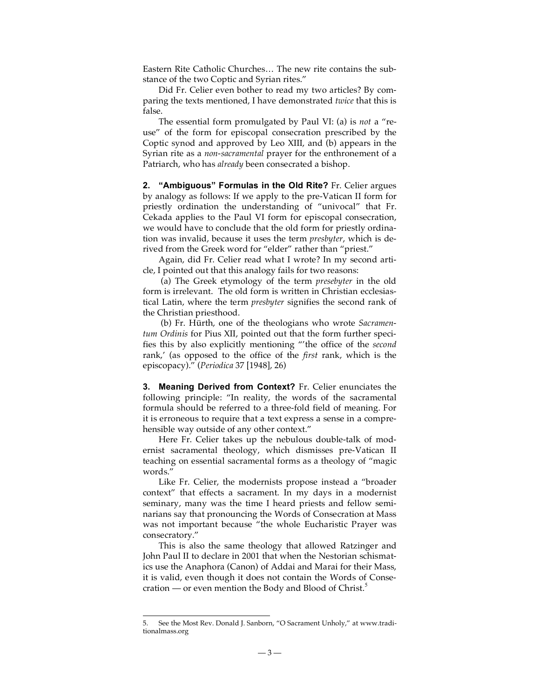Eastern Rite Catholic Churches… The new rite contains the substance of the two Coptic and Syrian rites."

Did Fr. Celier even bother to read my two articles? By comparing the texts mentioned, I have demonstrated *twice* that this is false.

The essential form promulgated by Paul VI: (a) is *not* a "reuse" of the form for episcopal consecration prescribed by the Coptic synod and approved by Leo XIII, and (b) appears in the Syrian rite as a *non-sacramental* prayer for the enthronement of a Patriarch, who has *already* been consecrated a bishop.

**2. "Ambiguous" Formulas in the Old Rite?** Fr. Celier argues by analogy as follows: If we apply to the pre-Vatican II form for priestly ordination the understanding of "univocal" that Fr. Cekada applies to the Paul VI form for episcopal consecration, we would have to conclude that the old form for priestly ordination was invalid, because it uses the term *presbyter*, which is derived from the Greek word for "elder" rather than "priest."

Again, did Fr. Celier read what I wrote? In my second article, I pointed out that this analogy fails for two reasons:

(a) The Greek etymology of the term *presebyter* in the old form is irrelevant. The old form is written in Christian ecclesiastical Latin, where the term *presbyter* signifies the second rank of the Christian priesthood.

(b) Fr. Hürth, one of the theologians who wrote *Sacramentum Ordinis* for Pius XII, pointed out that the form further specifies this by also explicitly mentioning "'the office of the *second* rank,' (as opposed to the office of the *first* rank, which is the episcopacy)." (*Periodica* 37 [1948], 26)

**3. Meaning Derived from Context?** Fr. Celier enunciates the following principle: "In reality, the words of the sacramental formula should be referred to a three-fold field of meaning. For it is erroneous to require that a text express a sense in a comprehensible way outside of any other context."

Here Fr. Celier takes up the nebulous double-talk of modernist sacramental theology, which dismisses pre-Vatican II teaching on essential sacramental forms as a theology of "magic words."

Like Fr. Celier, the modernists propose instead a "broader context" that effects a sacrament. In my days in a modernist seminary, many was the time I heard priests and fellow seminarians say that pronouncing the Words of Consecration at Mass was not important because "the whole Eucharistic Prayer was consecratory."

This is also the same theology that allowed Ratzinger and John Paul II to declare in 2001 that when the Nestorian schismatics use the Anaphora (Canon) of Addai and Marai for their Mass, it is valid, even though it does not contain the Words of Consecration — or even mention the Body and Blood of Christ.<sup>5</sup>

 <sup>5.</sup> See the Most Rev. Donald J. Sanborn, "O Sacrament Unholy," at www.traditionalmass.org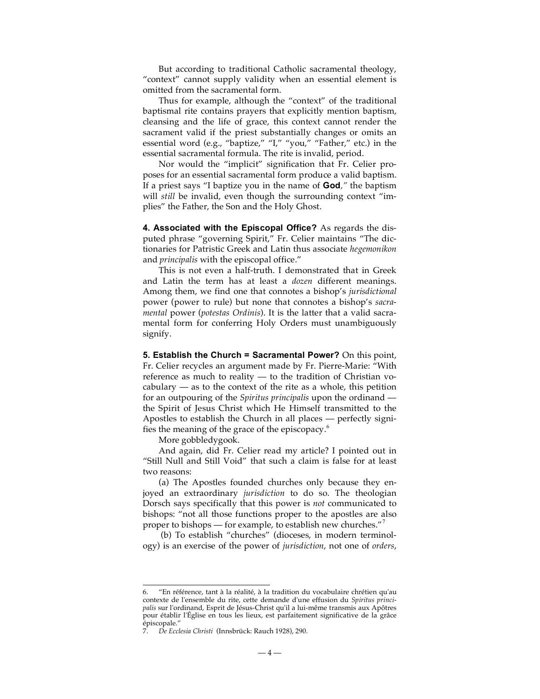But according to traditional Catholic sacramental theology, "context" cannot supply validity when an essential element is omitted from the sacramental form.

Thus for example, although the "context" of the traditional baptismal rite contains prayers that explicitly mention baptism, cleansing and the life of grace, this context cannot render the sacrament valid if the priest substantially changes or omits an essential word (e.g., "baptize," "I," "you," "Father," etc.) in the essential sacramental formula. The rite is invalid, period.

Nor would the "implicit" signification that Fr. Celier proposes for an essential sacramental form produce a valid baptism. If a priest says "I baptize you in the name of **God***,"* the baptism will *still* be invalid, even though the surrounding context "implies" the Father, the Son and the Holy Ghost.

**4. Associated with the Episcopal Office?** As regards the disputed phrase "governing Spirit," Fr. Celier maintains "The dictionaries for Patristic Greek and Latin thus associate *hegemonikon* and *principalis* with the episcopal office."

This is not even a half-truth. I demonstrated that in Greek and Latin the term has at least a *dozen* different meanings. Among them, we find one that connotes a bishop's *jurisdictional* power (power to rule) but none that connotes a bishop's *sacramental* power (*potestas Ordinis*). It is the latter that a valid sacramental form for conferring Holy Orders must unambiguously signify.

**5. Establish the Church = Sacramental Power?** On this point, Fr. Celier recycles an argument made by Fr. Pierre-Marie: "With reference as much to reality — to the tradition of Christian vocabulary  $-$  as to the context of the rite as a whole, this petition for an outpouring of the *Spiritus principalis* upon the ordinand the Spirit of Jesus Christ which He Himself transmitted to the Apostles to establish the Church in all places — perfectly signifies the meaning of the grace of the episcopacy. 6

More gobbledygook.

And again, did Fr. Celier read my article? I pointed out in "Still Null and Still Void" that such a claim is false for at least two reasons:

(a) The Apostles founded churches only because they enjoyed an extraordinary *jurisdiction* to do so. The theologian Dorsch says specifically that this power is *not* communicated to bishops: "not all those functions proper to the apostles are also proper to bishops — for example, to establish new churches."<sup>7</sup>

(b) To establish "churches" (dioceses, in modern terminology) is an exercise of the power of *jurisdiction*, not one of *orders*,

<sup>&</sup>quot;En référence, tant à la réalité, à la tradition du vocabulaire chrétien qu'au contexte de l'ensemble du rite, cette demande d'une effusion du *Spiritus principalis* sur l'ordinand, Esprit de Jésus-Christ qu'il a lui-même transmis aux Apôtres pour établir l'Église en tous les lieux, est parfaitement significative de la grâce épiscopale."

<sup>7.</sup> *De Ecclesia Christi* (Innsbrück: Rauch 1928), 290.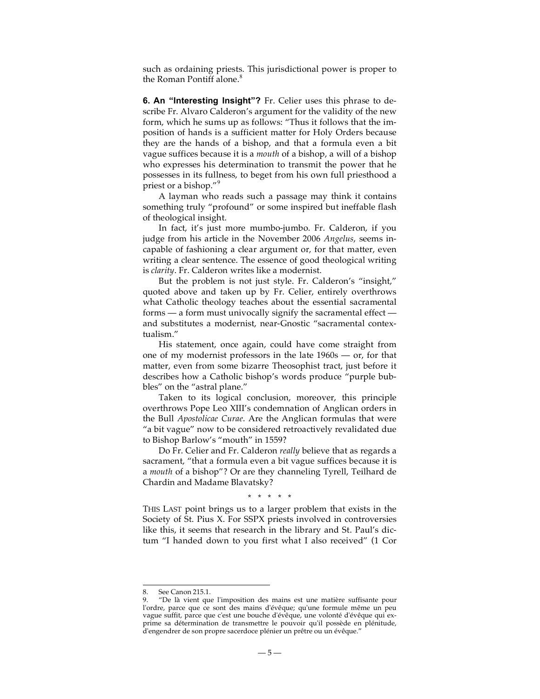such as ordaining priests. This jurisdictional power is proper to the Roman Pontiff alone. 8

**6. An "Interesting Insight"?** Fr. Celier uses this phrase to describe Fr. Alvaro Calderon's argument for the validity of the new form, which he sums up as follows: "Thus it follows that the imposition of hands is a sufficient matter for Holy Orders because they are the hands of a bishop, and that a formula even a bit vague suffices because it is a *mouth* of a bishop, a will of a bishop who expresses his determination to transmit the power that he possesses in its fullness, to beget from his own full priesthood a priest or a bishop."<sup>9</sup>

A layman who reads such a passage may think it contains something truly "profound" or some inspired but ineffable flash of theological insight.

In fact, it's just more mumbo-jumbo. Fr. Calderon, if you judge from his article in the November 2006 *Angelus*, seems incapable of fashioning a clear argument or, for that matter, even writing a clear sentence. The essence of good theological writing is *clarity*. Fr. Calderon writes like a modernist.

But the problem is not just style. Fr. Calderon's "insight," quoted above and taken up by Fr. Celier, entirely overthrows what Catholic theology teaches about the essential sacramental forms — a form must univocally signify the sacramental effect and substitutes a modernist, near-Gnostic "sacramental contextualism."

His statement, once again, could have come straight from one of my modernist professors in the late 1960s — or, for that matter, even from some bizarre Theosophist tract, just before it describes how a Catholic bishop's words produce "purple bubbles" on the "astral plane."

Taken to its logical conclusion, moreover, this principle overthrows Pope Leo XIII's condemnation of Anglican orders in the Bull *Apostolicae Curae*. Are the Anglican formulas that were "a bit vague" now to be considered retroactively revalidated due to Bishop Barlow's "mouth" in 1559?

Do Fr. Celier and Fr. Calderon *really* believe that as regards a sacrament, "that a formula even a bit vague suffices because it is a *mouth* of a bishop"? Or are they channeling Tyrell, Teilhard de Chardin and Madame Blavatsky?

\* \* \* \* \*

THIS LAST point brings us to a larger problem that exists in the Society of St. Pius X. For SSPX priests involved in controversies like this, it seems that research in the library and St. Paul's dictum "I handed down to you first what I also received" (1 Cor

See Canon 215.1.

<sup>9.</sup> "De là vient que l'imposition des mains est une matière suffisante pour l'ordre, parce que ce sont des mains d'évêque; qu'une formule même un peu vague suffit, parce que c'est une bouche d'évêque, une volonté d'évêque qui exprime sa détermination de transmettre le pouvoir qu'il possède en plénitude, d'engendrer de son propre sacerdoce plénier un prêtre ou un évêque."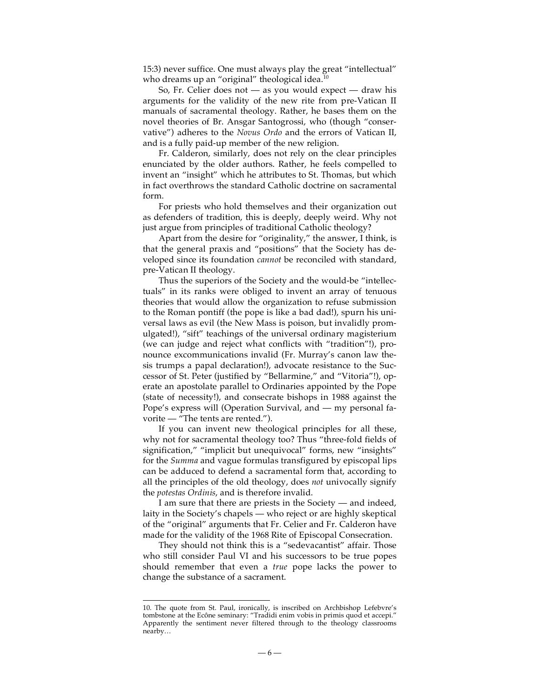15:3) never suffice. One must always play the great "intellectual" who dreams up an "original" theological idea. $^{\rm 10}$ 

So, Fr. Celier does not — as you would expect — draw his arguments for the validity of the new rite from pre-Vatican II manuals of sacramental theology. Rather, he bases them on the novel theories of Br. Ansgar Santogrossi, who (though "conservative") adheres to the *Novus Ordo* and the errors of Vatican II, and is a fully paid-up member of the new religion.

Fr. Calderon, similarly, does not rely on the clear principles enunciated by the older authors. Rather, he feels compelled to invent an "insight" which he attributes to St. Thomas, but which in fact overthrows the standard Catholic doctrine on sacramental form.

For priests who hold themselves and their organization out as defenders of tradition, this is deeply, deeply weird. Why not just argue from principles of traditional Catholic theology?

Apart from the desire for "originality," the answer, I think, is that the general praxis and "positions" that the Society has developed since its foundation *cannot* be reconciled with standard, pre-Vatican II theology.

Thus the superiors of the Society and the would-be "intellectuals" in its ranks were obliged to invent an array of tenuous theories that would allow the organization to refuse submission to the Roman pontiff (the pope is like a bad dad!), spurn his universal laws as evil (the New Mass is poison, but invalidly promulgated!), "sift" teachings of the universal ordinary magisterium (we can judge and reject what conflicts with "tradition"!), pronounce excommunications invalid (Fr. Murray's canon law thesis trumps a papal declaration!), advocate resistance to the Successor of St. Peter (justified by "Bellarmine," and "Vitoria"!), operate an apostolate parallel to Ordinaries appointed by the Pope (state of necessity!), and consecrate bishops in 1988 against the Pope's express will (Operation Survival, and — my personal favorite — "The tents are rented.").

If you can invent new theological principles for all these, why not for sacramental theology too? Thus "three-fold fields of signification," "implicit but unequivocal" forms, new "insights" for the *Summa* and vague formulas transfigured by episcopal lips can be adduced to defend a sacramental form that, according to all the principles of the old theology, does *not* univocally signify the *potestas Ordinis*, and is therefore invalid.

I am sure that there are priests in the Society — and indeed, laity in the Society's chapels — who reject or are highly skeptical of the "original" arguments that Fr. Celier and Fr. Calderon have made for the validity of the 1968 Rite of Episcopal Consecration.

They should not think this is a "sedevacantist" affair. Those who still consider Paul VI and his successors to be true popes should remember that even a *true* pope lacks the power to change the substance of a sacrament.

 <sup>10.</sup> The quote from St. Paul, ironically, is inscribed on Archbishop Lefebvre's tombstone at the Ecône seminary: "Tradidi enim vobis in primis quod et accepi." Apparently the sentiment never filtered through to the theology classrooms nearby…